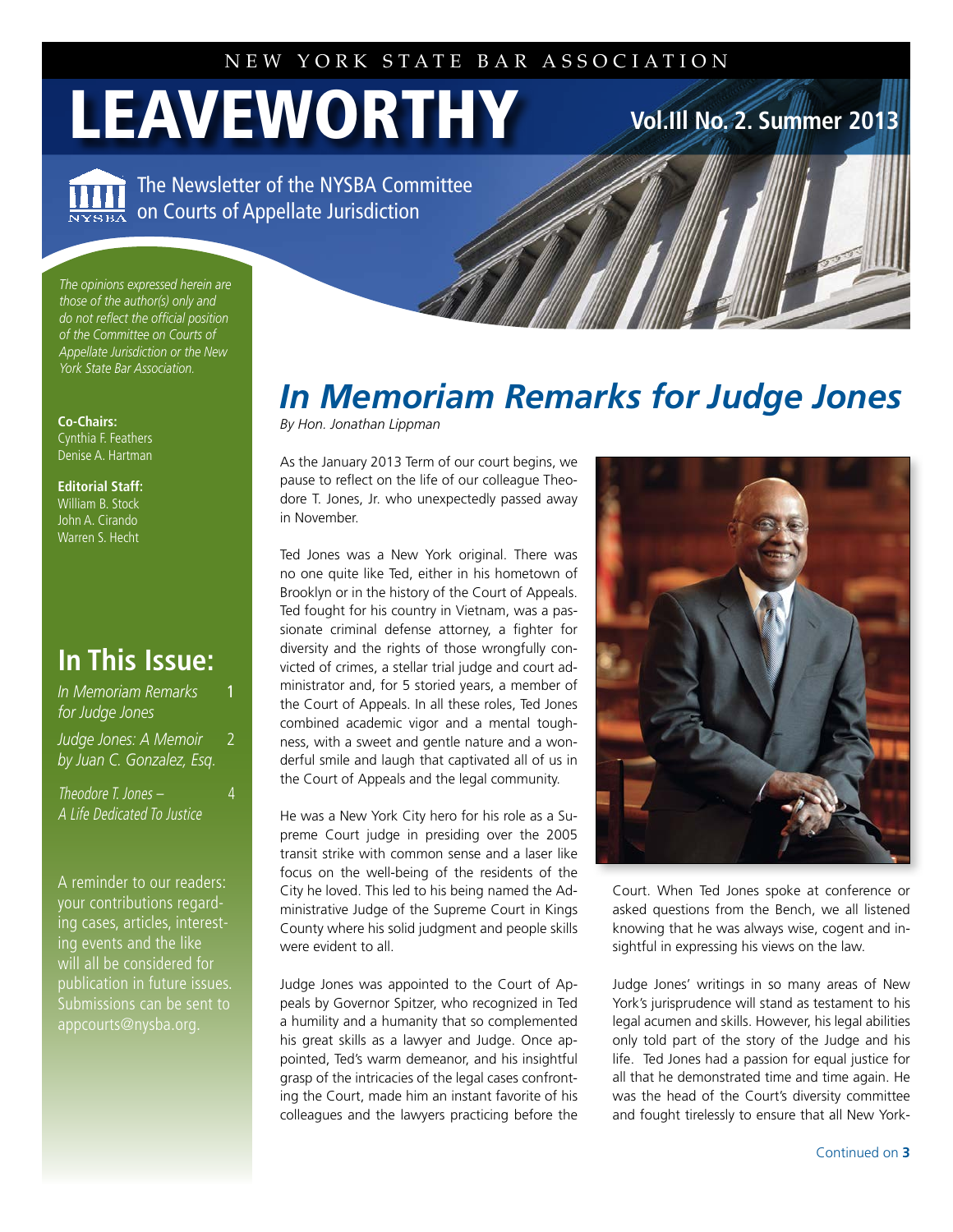# LEAVEWORTHY **Vol.1III No. 2. Summer 2013**

The Newsletter of the NYSBA Committee on Courts of Appellate Jurisdiction

*The opinions expressed herein are those of the author(s) only and do not reflect the official position of the Committee on Courts of Appellate Jurisdiction or the New York State Bar Association.*

**Co-Chairs:** Cynthia F. Feathers Denise A. Hartman

**Editorial Staff:** William B. Stock John A. Cirando Warren S. Hecht

### **In This Issue:**

**In Memoriam Remarks** *for Judge Jones Judge Jones: A Memoir* 2 *by Juan C. Gonzalez, Esq.* 

Theodore T. Jones – 4 A Life Dedicated To Justice

A reminder to our readers: your contributions regarding cases, articles, interesting events and the like will all be considered for publication in future issues. Submissions can be sent to

## *In Memoriam Remarks for Judge Jones*

*By Hon. Jonathan Lippman*

As the January 2013 Term of our court begins, we pause to reflect on the life of our colleague Theodore T. Jones, Jr. who unexpectedly passed away in November.

Ted Jones was a New York original. There was no one quite like Ted, either in his hometown of Brooklyn or in the history of the Court of Appeals. Ted fought for his country in Vietnam, was a passionate criminal defense attorney, a fighter for diversity and the rights of those wrongfully convicted of crimes, a stellar trial judge and court administrator and, for 5 storied years, a member of the Court of Appeals. In all these roles, Ted Jones combined academic vigor and a mental toughness, with a sweet and gentle nature and a wonderful smile and laugh that captivated all of us in the Court of Appeals and the legal community.

He was a New York City hero for his role as a Supreme Court judge in presiding over the 2005 transit strike with common sense and a laser like focus on the well-being of the residents of the City he loved. This led to his being named the Administrative Judge of the Supreme Court in Kings County where his solid judgment and people skills were evident to all.

Judge Jones was appointed to the Court of Appeals by Governor Spitzer, who recognized in Ted a humility and a humanity that so complemented his great skills as a lawyer and Judge. Once appointed, Ted's warm demeanor, and his insightful grasp of the intricacies of the legal cases confronting the Court, made him an instant favorite of his colleagues and the lawyers practicing before the



Court. When Ted Jones spoke at conference or asked questions from the Bench, we all listened knowing that he was always wise, cogent and insightful in expressing his views on the law.

Judge Jones' writings in so many areas of New York's jurisprudence will stand as testament to his legal acumen and skills. However, his legal abilities only told part of the story of the Judge and his life. Ted Jones had a passion for equal justice for all that he demonstrated time and time again. He was the head of the Court's diversity committee and fought tirelessly to ensure that all New York-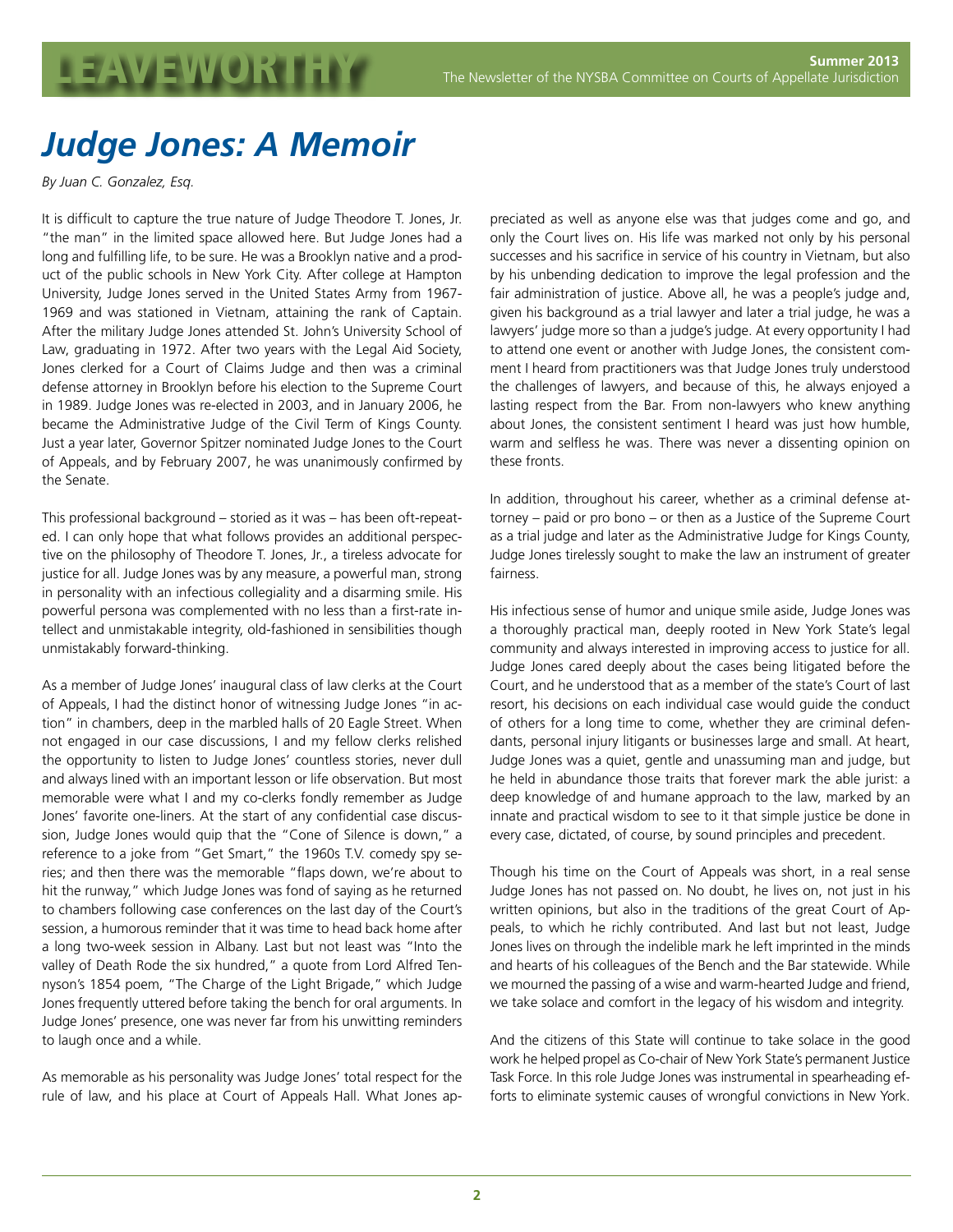### *Judge Jones: A Memoir*

*By Juan C. Gonzalez, Esq.*

It is difficult to capture the true nature of Judge Theodore T. Jones, Jr. "the man" in the limited space allowed here. But Judge Jones had a long and fulfilling life, to be sure. He was a Brooklyn native and a product of the public schools in New York City. After college at Hampton University, Judge Jones served in the United States Army from 1967- 1969 and was stationed in Vietnam, attaining the rank of Captain. After the military Judge Jones attended St. John's University School of Law, graduating in 1972. After two years with the Legal Aid Society, Jones clerked for a Court of Claims Judge and then was a criminal defense attorney in Brooklyn before his election to the Supreme Court in 1989. Judge Jones was re-elected in 2003, and in January 2006, he became the Administrative Judge of the Civil Term of Kings County. Just a year later, Governor Spitzer nominated Judge Jones to the Court of Appeals, and by February 2007, he was unanimously confirmed by the Senate.

This professional background – storied as it was – has been oft-repeated. I can only hope that what follows provides an additional perspective on the philosophy of Theodore T. Jones, Jr., a tireless advocate for justice for all. Judge Jones was by any measure, a powerful man, strong in personality with an infectious collegiality and a disarming smile. His powerful persona was complemented with no less than a first-rate intellect and unmistakable integrity, old-fashioned in sensibilities though unmistakably forward-thinking.

As a member of Judge Jones' inaugural class of law clerks at the Court of Appeals, I had the distinct honor of witnessing Judge Jones "in action" in chambers, deep in the marbled halls of 20 Eagle Street. When not engaged in our case discussions, I and my fellow clerks relished the opportunity to listen to Judge Jones' countless stories, never dull and always lined with an important lesson or life observation. But most memorable were what I and my co-clerks fondly remember as Judge Jones' favorite one-liners. At the start of any confidential case discussion, Judge Jones would quip that the "Cone of Silence is down," a reference to a joke from "Get Smart," the 1960s T.V. comedy spy series; and then there was the memorable "flaps down, we're about to hit the runway," which Judge Jones was fond of saying as he returned to chambers following case conferences on the last day of the Court's session, a humorous reminder that it was time to head back home after a long two-week session in Albany. Last but not least was "Into the valley of Death Rode the six hundred," a quote from Lord Alfred Tennyson's 1854 poem, "The Charge of the Light Brigade," which Judge Jones frequently uttered before taking the bench for oral arguments. In Judge Jones' presence, one was never far from his unwitting reminders to laugh once and a while.

As memorable as his personality was Judge Jones' total respect for the rule of law, and his place at Court of Appeals Hall. What Jones appreciated as well as anyone else was that judges come and go, and only the Court lives on. His life was marked not only by his personal successes and his sacrifice in service of his country in Vietnam, but also by his unbending dedication to improve the legal profession and the fair administration of justice. Above all, he was a people's judge and, given his background as a trial lawyer and later a trial judge, he was a lawyers' judge more so than a judge's judge. At every opportunity I had to attend one event or another with Judge Jones, the consistent comment I heard from practitioners was that Judge Jones truly understood the challenges of lawyers, and because of this, he always enjoyed a lasting respect from the Bar. From non-lawyers who knew anything about Jones, the consistent sentiment I heard was just how humble, warm and selfless he was. There was never a dissenting opinion on these fronts.

In addition, throughout his career, whether as a criminal defense attorney – paid or pro bono – or then as a Justice of the Supreme Court as a trial judge and later as the Administrative Judge for Kings County, Judge Jones tirelessly sought to make the law an instrument of greater fairness.

His infectious sense of humor and unique smile aside, Judge Jones was a thoroughly practical man, deeply rooted in New York State's legal community and always interested in improving access to justice for all. Judge Jones cared deeply about the cases being litigated before the Court, and he understood that as a member of the state's Court of last resort, his decisions on each individual case would guide the conduct of others for a long time to come, whether they are criminal defendants, personal injury litigants or businesses large and small. At heart, Judge Jones was a quiet, gentle and unassuming man and judge, but he held in abundance those traits that forever mark the able jurist: a deep knowledge of and humane approach to the law, marked by an innate and practical wisdom to see to it that simple justice be done in every case, dictated, of course, by sound principles and precedent.

Though his time on the Court of Appeals was short, in a real sense Judge Jones has not passed on. No doubt, he lives on, not just in his written opinions, but also in the traditions of the great Court of Appeals, to which he richly contributed. And last but not least, Judge Jones lives on through the indelible mark he left imprinted in the minds and hearts of his colleagues of the Bench and the Bar statewide. While we mourned the passing of a wise and warm-hearted Judge and friend, we take solace and comfort in the legacy of his wisdom and integrity.

And the citizens of this State will continue to take solace in the good work he helped propel as Co-chair of New York State's permanent Justice Task Force. In this role Judge Jones was instrumental in spearheading efforts to eliminate systemic causes of wrongful convictions in New York.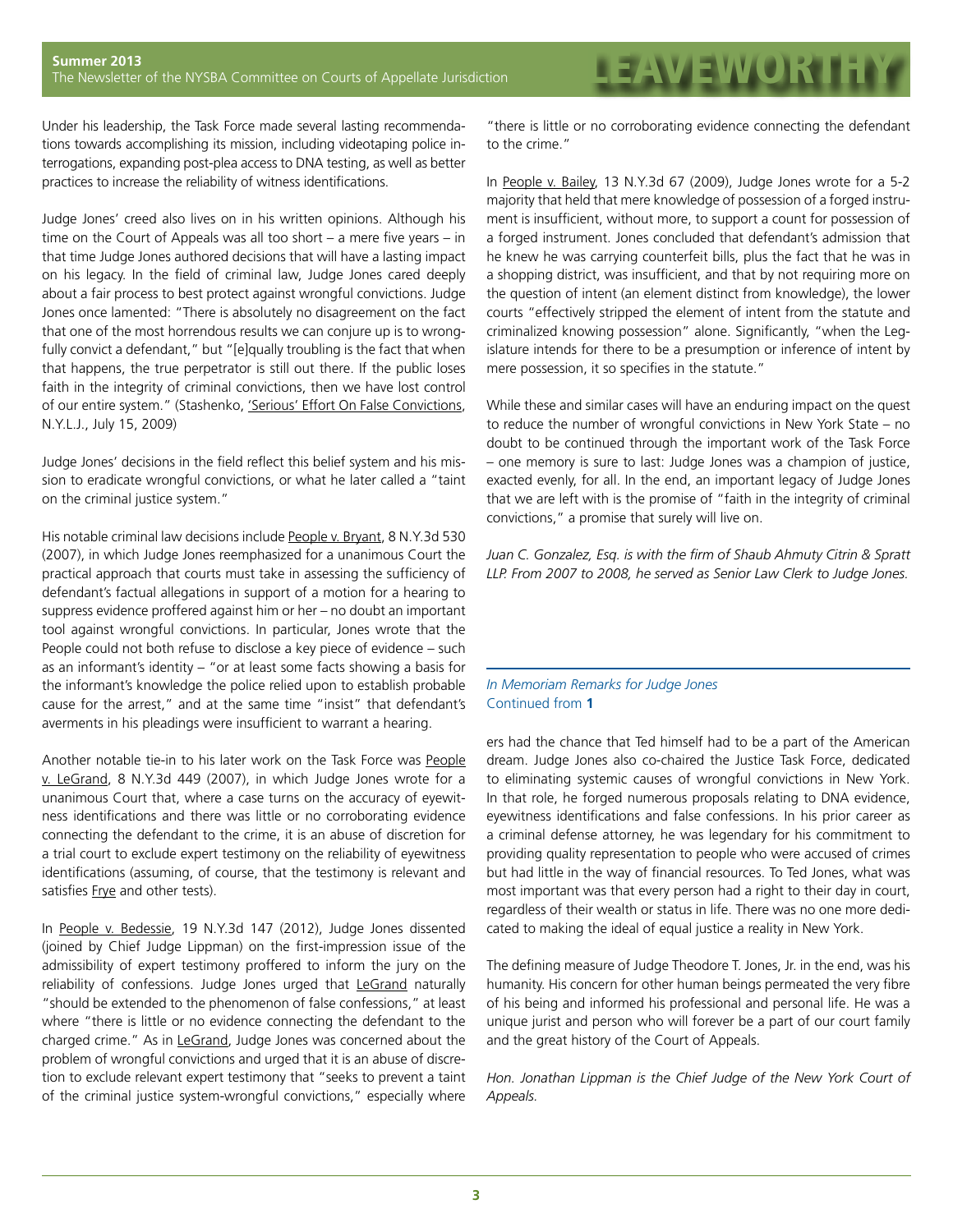Under his leadership, the Task Force made several lasting recommendations towards accomplishing its mission, including videotaping police interrogations, expanding post-plea access to DNA testing, as well as better practices to increase the reliability of witness identifications.

Judge Jones' creed also lives on in his written opinions. Although his time on the Court of Appeals was all too short – a mere five years – in that time Judge Jones authored decisions that will have a lasting impact on his legacy. In the field of criminal law, Judge Jones cared deeply about a fair process to best protect against wrongful convictions. Judge Jones once lamented: "There is absolutely no disagreement on the fact that one of the most horrendous results we can conjure up is to wrongfully convict a defendant," but "[e]qually troubling is the fact that when that happens, the true perpetrator is still out there. If the public loses faith in the integrity of criminal convictions, then we have lost control of our entire system." (Stashenko, 'Serious' Effort On False Convictions, N.Y.L.J., July 15, 2009)

Judge Jones' decisions in the field reflect this belief system and his mission to eradicate wrongful convictions, or what he later called a "taint on the criminal justice system."

His notable criminal law decisions include People v. Bryant, 8 N.Y.3d 530 (2007), in which Judge Jones reemphasized for a unanimous Court the practical approach that courts must take in assessing the sufficiency of defendant's factual allegations in support of a motion for a hearing to suppress evidence proffered against him or her – no doubt an important tool against wrongful convictions. In particular, Jones wrote that the People could not both refuse to disclose a key piece of evidence – such as an informant's identity – "or at least some facts showing a basis for the informant's knowledge the police relied upon to establish probable cause for the arrest," and at the same time "insist" that defendant's averments in his pleadings were insufficient to warrant a hearing.

Another notable tie-in to his later work on the Task Force was People v. LeGrand, 8 N.Y.3d 449 (2007), in which Judge Jones wrote for a unanimous Court that, where a case turns on the accuracy of eyewitness identifications and there was little or no corroborating evidence connecting the defendant to the crime, it is an abuse of discretion for a trial court to exclude expert testimony on the reliability of eyewitness identifications (assuming, of course, that the testimony is relevant and satisfies Frye and other tests).

In People v. Bedessie, 19 N.Y.3d 147 (2012), Judge Jones dissented (joined by Chief Judge Lippman) on the first-impression issue of the admissibility of expert testimony proffered to inform the jury on the reliability of confessions. Judge Jones urged that LeGrand naturally "should be extended to the phenomenon of false confessions," at least where "there is little or no evidence connecting the defendant to the charged crime." As in LeGrand, Judge Jones was concerned about the problem of wrongful convictions and urged that it is an abuse of discretion to exclude relevant expert testimony that "seeks to prevent a taint of the criminal justice system-wrongful convictions," especially where

"there is little or no corroborating evidence connecting the defendant to the crime."

In [People v. Bailey](http://www.newyorklawjournal.com/CaseDecisionNY.jsp?id=1202577718164), 13 N.Y.3d 67 (2009), Judge Jones wrote for a 5-2 majority that held that mere knowledge of possession of a forged instrument is insufficient, without more, to support a count for possession of a forged instrument. Jones concluded that defendant's admission that he knew he was carrying counterfeit bills, plus the fact that he was in a shopping district, was insufficient, and that by not requiring more on the question of intent (an element distinct from knowledge), the lower courts "effectively stripped the element of intent from the statute and criminalized knowing possession" alone. Significantly, "when the Legislature intends for there to be a presumption or inference of intent by mere possession, it so specifies in the statute."

While these and similar cases will have an enduring impact on the quest to reduce the number of wrongful convictions in New York State – no doubt to be continued through the important work of the Task Force – one memory is sure to last: Judge Jones was a champion of justice, exacted evenly, for all. In the end, an important legacy of Judge Jones that we are left with is the promise of "faith in the integrity of criminal convictions," a promise that surely will live on.

*Juan C. Gonzalez, Esq. is with the firm of Shaub Ahmuty Citrin & Spratt LLP. From 2007 to 2008, he served as Senior Law Clerk to Judge Jones.*

### *In Memoriam Remarks for Judge Jones* Continued from **1**

ers had the chance that Ted himself had to be a part of the American dream. Judge Jones also co-chaired the Justice Task Force, dedicated to eliminating systemic causes of wrongful convictions in New York. In that role, he forged numerous proposals relating to DNA evidence, eyewitness identifications and false confessions. In his prior career as a criminal defense attorney, he was legendary for his commitment to providing quality representation to people who were accused of crimes but had little in the way of financial resources. To Ted Jones, what was most important was that every person had a right to their day in court, regardless of their wealth or status in life. There was no one more dedicated to making the ideal of equal justice a reality in New York.

The defining measure of Judge Theodore T. Jones, Jr. in the end, was his humanity. His concern for other human beings permeated the very fibre of his being and informed his professional and personal life. He was a unique jurist and person who will forever be a part of our court family and the great history of the Court of Appeals.

*Hon. Jonathan Lippman is the Chief Judge of the New York Court of Appeals.*